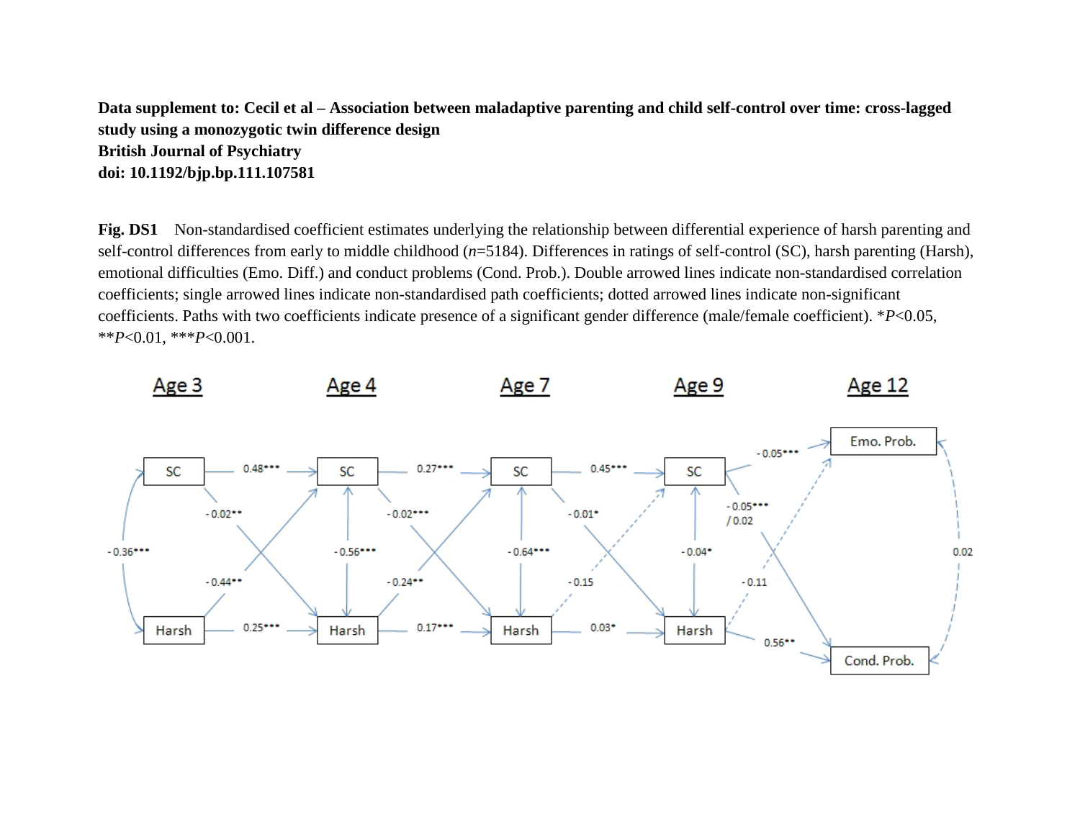**Data supplement to: Cecil et al – Association between maladaptive parenting and child self-control over time: cross-lagged study using a monozygotic twin difference design British Journal of Psychiatry doi: 10.1192/bjp.bp.111.107581** 

**Fig. DS1** Non-standardised coefficient estimates underlying the relationship between differential experience of harsh parenting and self-control differences from early to middle childhood (*n*=5184). Differences in ratings of self-control (SC), harsh parenting (Harsh), emotional difficulties (Emo. Diff.) and conduct problems (Cond. Prob.). Double arrowed lines indicate non-standardised correlation coefficients; single arrowed lines indicate non-standardised path coefficients; dotted arrowed lines indicate non-significant coefficients. Paths with two coefficients indicate presence of a significant gender difference (male/female coefficient). \**P*<0.05, \*\**P*<0.01, \*\*\**P*<0.001.

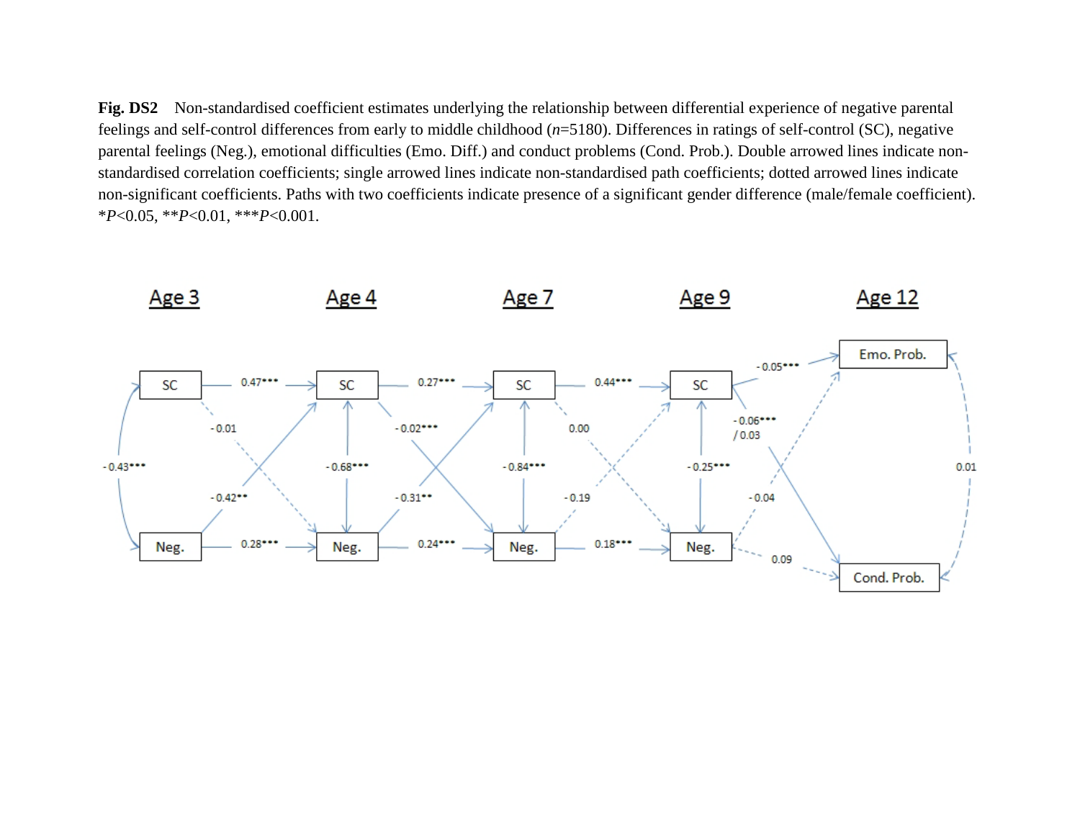**Fig. DS2** Non-standardised coefficient estimates underlying the relationship between differential experience of negative parental feelings and self-control differences from early to middle childhood (*n*=5180). Differences in ratings of self-control (SC), negative parental feelings (Neg.), emotional difficulties (Emo. Diff.) and conduct problems (Cond. Prob.). Double arrowed lines indicate nonstandardised correlation coefficients; single arrowed lines indicate non-standardised path coefficients; dotted arrowed lines indicate non-significant coefficients. Paths with two coefficients indicate presence of a significant gender difference (male/female coefficient). \**P*<0.05, \*\**P*<0.01, \*\*\**P*<0.001.

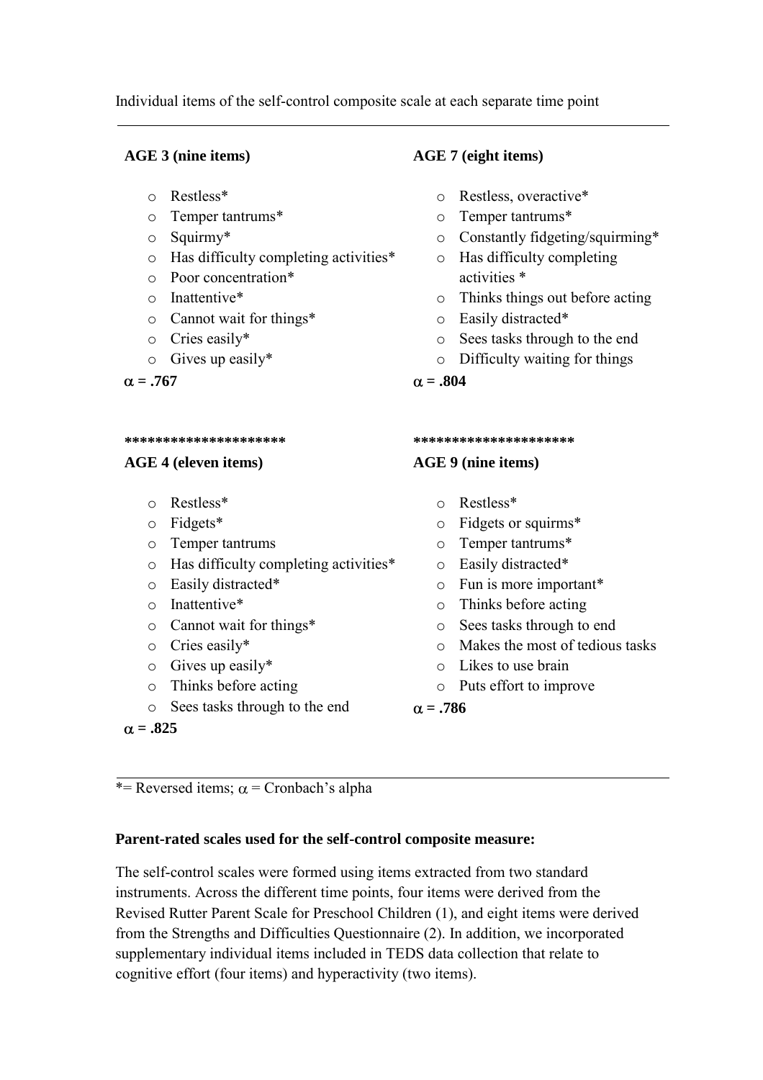Individual items of the self-control composite scale at each separate time point

# **AGE 3 (nine items)**

- o Restless\*
- o Temper tantrums\*
- o Squirmy\*
- o Has difficulty completing activities\*
- o Poor concentration\*
- o Inattentive\*
- o Cannot wait for things\*
- o Cries easily\*
- o Gives up easily\*

 $\alpha = .767$ 

#### **\*\*\*\*\*\*\*\*\*\*\*\*\*\*\*\*\*\*\*\*\***

### **AGE 4 (eleven items)**

- o Restless\*
- o Fidgets\*
- o Temper tantrums
- o Has difficulty completing activities\*
- o Easily distracted\*
- o Inattentive\*
- o Cannot wait for things\*
- o Cries easily\*
- o Gives up easily\*
- o Thinks before acting
- o Sees tasks through to the end

 $\alpha = .825$ 

# **AGE 7 (eight items)**

- o Restless, overactive\*
- o Temper tantrums\*
- o Constantly fidgeting/squirming\*
- o Has difficulty completing activities \*
- o Thinks things out before acting
- o Easily distracted\*
- o Sees tasks through to the end
- o Difficulty waiting for things

 $\alpha = .804$ 

#### **\*\*\*\*\*\*\*\*\*\*\*\*\*\*\*\*\*\*\*\*\***

### **AGE 9 (nine items)**

- o Restless\*
- o Fidgets or squirms\*
- o Temper tantrums\*
- o Easily distracted\*
- o Fun is more important\*
- o Thinks before acting
- o Sees tasks through to end
- o Makes the most of tedious tasks
- o Likes to use brain
- o Puts effort to improve

 $\alpha = .786$ 

\*= Reversed items;  $\alpha$  = Cronbach's alpha

# **Parent-rated scales used for the self-control composite measure:**

The self-control scales were formed using items extracted from two standard instruments. Across the different time points, four items were derived from the Revised Rutter Parent Scale for Preschool Children (1), and eight items were derived from the Strengths and Difficulties Questionnaire (2). In addition, we incorporated supplementary individual items included in TEDS data collection that relate to cognitive effort (four items) and hyperactivity (two items).